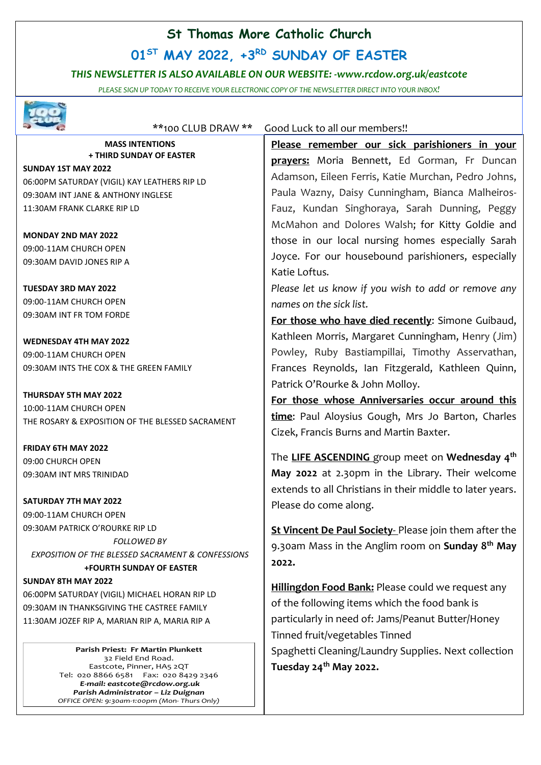## **St Thomas More Catholic Church**

# **01ST MAY 2022, +3 RD SUNDAY OF EASTER**

### *THIS NEWSLETTER IS ALSO AVAILABLE ON OUR WEBSITE: -www.rcdow.org.uk/eastcote*

*PLEASE SIGN UP TODAY TO RECEIVE YOUR ELECTRONIC COPY OF THE NEWSLETTER DIRECT INTO YOUR INBOX!*



#### \*\*100 CLUB DRAW \*\* Good Luck to all our members!!

**MASS INTENTIONS + THIRD SUNDAY OF EASTER**

**SUNDAY 1ST MAY 2022** 06:00PM SATURDAY (VIGIL) KAY LEATHERS RIP LD 09:30AM INT JANE & ANTHONY INGLESE 11:30AM FRANK CLARKE RIP LD

**MONDAY 2ND MAY 2022** 09:00-11AM CHURCH OPEN 09:30AM DAVID JONES RIP A

**TUESDAY 3RD MAY 2022** 09:00-11AM CHURCH OPEN 09:30AM INT FR TOM FORDE

**WEDNESDAY 4TH MAY 2022** 09:00-11AM CHURCH OPEN 09:30AM INTS THE COX & THE GREEN FAMILY

**THURSDAY 5TH MAY 2022** 10:00-11AM CHURCH OPEN THE ROSARY & EXPOSITION OF THE BLESSED SACRAMENT

**FRIDAY 6TH MAY 2022** 09:00 CHURCH OPEN 09:30AM INT MRS TRINIDAD

**SATURDAY 7TH MAY 2022** 09:00-11AM CHURCH OPEN 09:30AM PATRICK O'ROURKE RIP LD *FOLLOWED BY EXPOSITION OF THE BLESSED SACRAMENT & CONFESSIONS*  **+FOURTH SUNDAY OF EASTER**

#### **SUNDAY 8TH MAY 2022**

06:00PM SATURDAY (VIGIL) MICHAEL HORAN RIP LD 09:30AM IN THANKSGIVING THE CASTREE FAMILY 11:30AM JOZEF RIP A, MARIAN RIP A, MARIA RIP A

> **Parish Priest: Fr Martin Plunkett**  32 Field End Road. Eastcote, Pinner, HA5 2QT Tel: 020 8866 6581 Fax: 020 8429 2346 *E-mail: eastcote@rcdow.org.uk Parish Administrator – Liz Duignan OFFICE OPEN: 9:30am-1:00pm (Mon- Thurs Only)*

**Please remember our sick parishioners in your prayers:** Moria Bennett, Ed Gorman, Fr Duncan Adamson, Eileen Ferris, Katie Murchan, Pedro Johns, Paula Wazny, Daisy Cunningham, Bianca Malheiros-Fauz, Kundan Singhoraya, Sarah Dunning, Peggy McMahon and Dolores Walsh; for Kitty Goldie and those in our local nursing homes especially Sarah Joyce. For our housebound parishioners, especially Katie Loftus*.*

*Please let us know if you wish to add or remove any names on the sick list.*

**For those who have died recently**: Simone Guibaud, Kathleen Morris, Margaret Cunningham, Henry (Jim) Powley, Ruby Bastiampillai, Timothy Asservathan, Frances Reynolds, Ian Fitzgerald, Kathleen Quinn, Patrick O'Rourke & John Molloy.

**For those whose Anniversaries occur around this time**: Paul Aloysius Gough, Mrs Jo Barton, Charles Cizek, Francis Burns and Martin Baxter.

The **LIFE ASCENDING** group meet on **Wednesday 4 th May 2022** at 2.30pm in the Library. Their welcome extends to all Christians in their middle to later years. Please do come along.

**St Vincent De Paul Society**- Please join them after the 9.30am Mass in the Anglim room on **Sunday 8 th May 2022.**

**Hillingdon Food Bank:** Please could we request any of the following items which the food bank is particularly in need of: Jams/Peanut Butter/Honey Tinned fruit/vegetables Tinned Spaghetti Cleaning/Laundry Supplies. Next collection **Tuesday 24th May 2022.**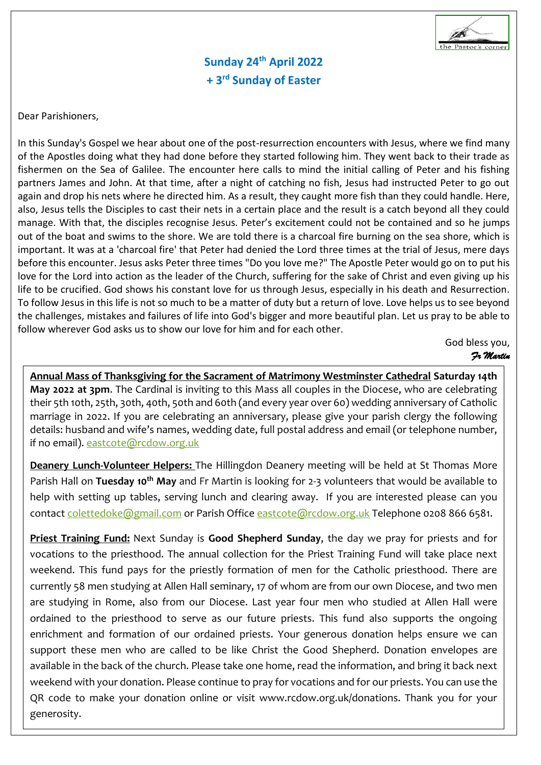

**Sunday 24th April 2022 + 3 rd Sunday of Easter**

Dear Parishioners,

In this Sunday's Gospel we hear about one of the post-resurrection encounters with Jesus, where we find many of the Apostles doing what they had done before they started following him. They went back to their trade as fishermen on the Sea of Galilee. The encounter here calls to mind the initial calling of Peter and his fishing partners James and John. At that time, after a night of catching no fish, Jesus had instructed Peter to go out again and drop his nets where he directed him. As a result, they caught more fish than they could handle. Here, also, Jesus tells the Disciples to cast their nets in a certain place and the result is a catch beyond all they could manage. With that, the disciples recognise Jesus. Peter's excitement could not be contained and so he jumps out of the boat and swims to the shore. We are told there is a charcoal fire burning on the sea shore, which is important. It was at a 'charcoal fire' that Peter had denied the Lord three times at the trial of Jesus, mere days before this encounter. Jesus asks Peter three times "Do you love me?" The Apostle Peter would go on to put his love for the Lord into action as the leader of the Church, suffering for the sake of Christ and even giving up his life to be crucified. God shows his constant love for us through Jesus, especially in his death and Resurrection. To follow Jesus in this life is not so much to be a matter of duty but a return of love. Love helps us to see beyond the challenges, mistakes and failures of life into God's bigger and more beautiful plan. Let us pray to be able to follow wherever God asks us to show our love for him and for each other.

> God bless you,  *Fr Martin*

 **Annual Mass of Thanksgiving for the Sacrament of Matrimony Westminster Cathedral Saturday 14th**   their 5th 10th, 25th, 30th, 40th, 50th and 60th (and every year over 60) wedding anniversary of Catholic **May 2022 at 3pm**. The Cardinal is inviting to this Mass all couples in the Diocese, who are celebrating marriage in 2022. If you are celebrating an anniversary, please give your parish clergy the following details: husband and wife's names, wedding date, full postal address and email (or telephone number, if no email). [eastcote@rcdow.org.uk](mailto:eastcote@rcdow.org.uk)

**Deanery Lunch-Volunteer Helpers:** The Hillingdon Deanery meeting will be held at St Thomas More Parish Hall on **Tuesday 10th May** and Fr Martin is looking for 2-3 volunteers that would be available to help with setting up tables, serving lunch and clearing away. If you are interested please can you contact [colettedoke@gmail.com](mailto:colettedoke@gmail.com) or Parish Office [eastcote@rcdow.org.uk](mailto:eastcote@rcdow.org.uk) Telephone 0208 866 6581.

**Priest Training Fund:** Next Sunday is **Good Shepherd Sunday**, the day we pray for priests and for vocations to the priesthood. The annual collection for the Priest Training Fund will take place next weekend. This fund pays for the priestly formation of men for the Catholic priesthood. There are currently 58 men studying at Allen Hall seminary, 17 of whom are from our own Diocese, and two men are studying in Rome, also from our Diocese. Last year four men who studied at Allen Hall were ordained to the priesthood to serve as our future priests. This fund also supports the ongoing enrichment and formation of our ordained priests. Your generous donation helps ensure we can support these men who are called to be like Christ the Good Shepherd. Donation envelopes are available in the back of the church. Please take one home, read the information, and bring it back next weekend with your donation. Please continue to pray for vocations and for our priests. You can use the QR code to make your donation online or visit www.rcdow.org.uk/donations. Thank you for your generosity.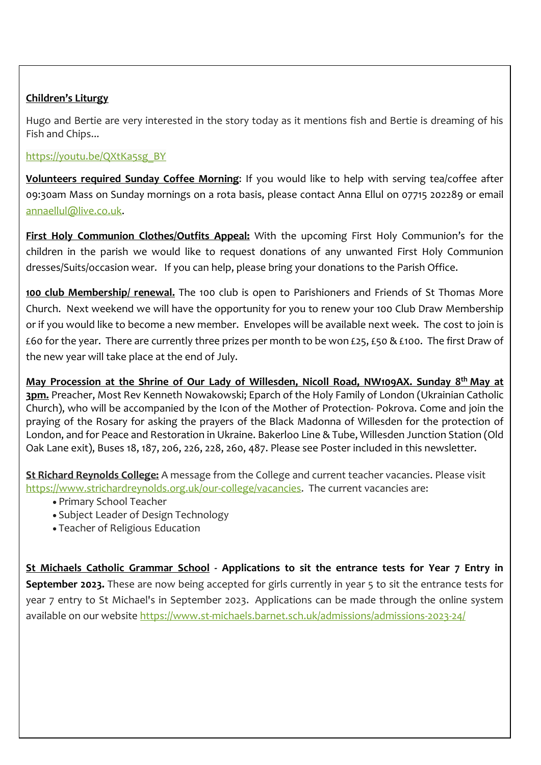## **Children's Liturgy**

Hugo and Bertie are very interested in the story today as it mentions fish and Bertie is dreaming of his Fish and Chips...

[https://youtu.be/QXtKa5sg\\_BY](https://youtu.be/QXtKa5sg_BY)

**Volunteers required Sunday Coffee Morning**: If you would like to help with serving tea/coffee after 09:30am Mass on Sunday mornings on a rota basis, please contact Anna Ellul on 07715 202289 or email [annaellul@live.co.uk.](mailto:annaellul@live.co.uk)

**First Holy Communion Clothes/Outfits Appeal:** With the upcoming First Holy Communion's for the children in the parish we would like to request donations of any unwanted First Holy Communion dresses/Suits/occasion wear. If you can help, please bring your donations to the Parish Office.

**100 club Membership/ renewal.** The 100 club is open to Parishioners and Friends of St Thomas More Church. Next weekend we will have the opportunity for you to renew your 100 Club Draw Membership or if you would like to become a new member. Envelopes will be available next week. The cost to join is £60 for the year. There are currently three prizes per month to be won £25, £50 & £100. The first Draw of the new year will take place at the end of July.

**May Procession at the Shrine of Our Lady of Willesden, Nicoll Road, NW109AX. Sunday 8 th May at 3pm.** Preacher, Most Rev Kenneth Nowakowski; Eparch of the Holy Family of London (Ukrainian Catholic Church), who will be accompanied by the Icon of the Mother of Protection- Pokrova. Come and join the praying of the Rosary for asking the prayers of the Black Madonna of Willesden for the protection of London, and for Peace and Restoration in Ukraine. Bakerloo Line & Tube, Willesden Junction Station (Old Oak Lane exit), Buses 18, 187, 206, 226, 228, 260, 487. Please see Poster included in this newsletter.

**St Richard Reynolds College:** A message from the College and current teacher vacancies. Please visit [https://www.strichardreynolds.org.uk/our-college/vacancies.](https://www.strichardreynolds.org.uk/our-college/vacancies) The current vacancies are:

- Primary School Teacher
- Subject Leader of Design Technology
- Teacher of Religious Education

**St Michaels Catholic Grammar School - Applications to sit the entrance tests for Year 7 Entry in September 2023.** These are now being accepted for girls currently in year 5 to sit the entrance tests for year 7 entry to St Michael's in September 2023. Applications can be made through the online system available on our website <https://www.st-michaels.barnet.sch.uk/admissions/admissions-2023-24/>